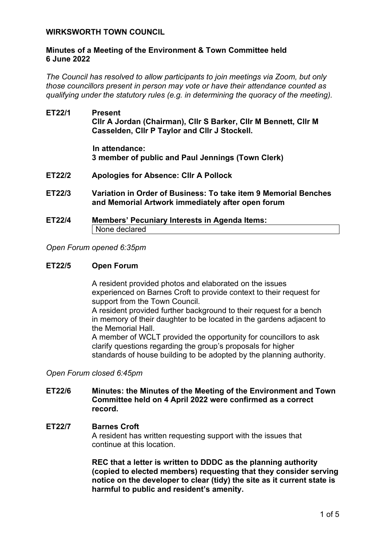### **WIRKSWORTH TOWN COUNCIL**

### **Minutes of a Meeting of the Environment & Town Committee held 6 June 2022**

*The Council has resolved to allow participants to join meetings via Zoom, but only those councillors present in person may vote or have their attendance counted as qualifying under the statutory rules (e.g. in determining the quoracy of the meeting).*

**ET22/1 Present Cllr A Jordan (Chairman), Cllr S Barker, Cllr M Bennett, Cllr M Casselden, Cllr P Taylor and Cllr J Stockell.**

> **In attendance: 3 member of public and Paul Jennings (Town Clerk)**

- **ET22/2 Apologies for Absence: Cllr A Pollock**
- **ET22/3 Variation in Order of Business: To take item 9 Memorial Benches and Memorial Artwork immediately after open forum**
- **ET22/4 Members' Pecuniary Interests in Agenda Items:**  None declared

### *Open Forum opened 6:35pm*

#### **ET22/5 Open Forum**

A resident provided photos and elaborated on the issues experienced on Barnes Croft to provide context to their request for support from the Town Council.

A resident provided further background to their request for a bench in memory of their daughter to be located in the gardens adjacent to the Memorial Hall.

A member of WCLT provided the opportunity for councillors to ask clarify questions regarding the group's proposals for higher standards of house building to be adopted by the planning authority.

#### *Open Forum closed 6:45pm*

#### **ET22/6 Minutes: the Minutes of the Meeting of the Environment and Town Committee held on 4 April 2022 were confirmed as a correct record.**

#### **ET22/7 Barnes Croft**

A resident has written requesting support with the issues that continue at this location.

**REC that a letter is written to DDDC as the planning authority (copied to elected members) requesting that they consider serving notice on the developer to clear (tidy) the site as it current state is harmful to public and resident's amenity.**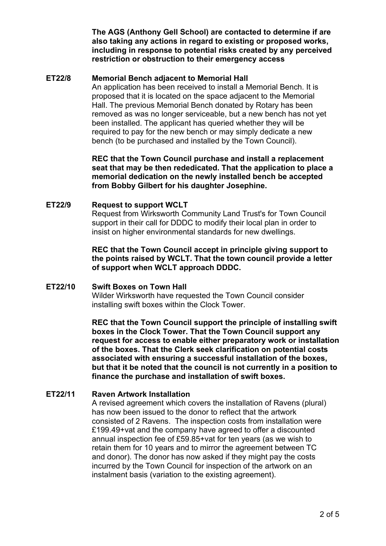**The AGS (Anthony Gell School) are contacted to determine if are also taking any actions in regard to existing or proposed works, including in response to potential risks created by any perceived restriction or obstruction to their emergency access**

## **ET22/8 Memorial Bench adjacent to Memorial Hall**

An application has been received to install a Memorial Bench. It is proposed that it is located on the space adjacent to the Memorial Hall. The previous Memorial Bench donated by Rotary has been removed as was no longer serviceable, but a new bench has not yet been installed. The applicant has queried whether they will be required to pay for the new bench or may simply dedicate a new bench (to be purchased and installed by the Town Council).

**REC that the Town Council purchase and install a replacement seat that may be then rededicated. That the application to place a memorial dedication on the newly installed bench be accepted from Bobby Gilbert for his daughter Josephine.**

#### **ET22/9 Request to support WCLT**

Request from Wirksworth Community Land Trust's for Town Council support in their call for DDDC to modify their local plan in order to insist on higher environmental standards for new dwellings.

**REC that the Town Council accept in principle giving support to the points raised by WCLT. That the town council provide a letter of support when WCLT approach DDDC.**

## **ET22/10 Swift Boxes on Town Hall**

Wilder Wirksworth have requested the Town Council consider installing swift boxes within the Clock Tower.

**REC that the Town Council support the principle of installing swift boxes in the Clock Tower. That the Town Council support any request for access to enable either preparatory work or installation of the boxes. That the Clerk seek clarification on potential costs associated with ensuring a successful installation of the boxes, but that it be noted that the council is not currently in a position to finance the purchase and installation of swift boxes.**

# **ET22/11 Raven Artwork Installation**

A revised agreement which covers the installation of Ravens (plural) has now been issued to the donor to reflect that the artwork consisted of 2 Ravens. The inspection costs from installation were £199.49+vat and the company have agreed to offer a discounted annual inspection fee of £59.85+vat for ten years (as we wish to retain them for 10 years and to mirror the agreement between TC and donor). The donor has now asked if they might pay the costs incurred by the Town Council for inspection of the artwork on an instalment basis (variation to the existing agreement).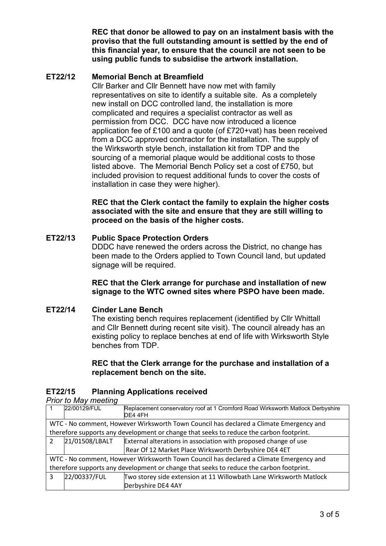**REC that donor be allowed to pay on an instalment basis with the proviso that the full outstanding amount is settled by the end of this financial year, to ensure that the council are not seen to be using public funds to subsidise the artwork installation.**

# **ET22/12 Memorial Bench at Breamfield**

Cllr Barker and Cllr Bennett have now met with family representatives on site to identify a suitable site. As a completely new install on DCC controlled land, the installation is more complicated and requires a specialist contractor as well as permission from DCC. DCC have now introduced a licence application fee of £100 and a quote (of £720+vat) has been received from a DCC approved contractor for the installation. The supply of the Wirksworth style bench, installation kit from TDP and the sourcing of a memorial plaque would be additional costs to those listed above. The Memorial Bench Policy set a cost of £750, but included provision to request additional funds to cover the costs of installation in case they were higher).

**REC that the Clerk contact the family to explain the higher costs associated with the site and ensure that they are still willing to proceed on the basis of the higher costs.**

# **ET22/13 Public Space Protection Orders**

DDDC have renewed the orders across the District, no change has been made to the Orders applied to Town Council land, but updated signage will be required.

**REC that the Clerk arrange for purchase and installation of new signage to the WTC owned sites where PSPO have been made.**

## **ET22/14 Cinder Lane Bench**

The existing bench requires replacement (identified by Cllr Whittall and Cllr Bennett during recent site visit). The council already has an existing policy to replace benches at end of life with Wirksworth Style benches from TDP.

## **REC that the Clerk arrange for the purchase and installation of a replacement bench on the site.**

# **ET22/15 Planning Applications received**

*Prior to May meeting*

|                                                                                         | 22/00129/FUL   | Replacement conservatory roof at 1 Cromford Road Wirksworth Matlock Derbyshire<br>DE4 4FH |  |  |
|-----------------------------------------------------------------------------------------|----------------|-------------------------------------------------------------------------------------------|--|--|
| WTC - No comment, However Wirksworth Town Council has declared a Climate Emergency and  |                |                                                                                           |  |  |
| therefore supports any development or change that seeks to reduce the carbon footprint. |                |                                                                                           |  |  |
| $\mathcal{P}$                                                                           | 21/01508/LBALT | External alterations in association with proposed change of use                           |  |  |
|                                                                                         |                | Rear Of 12 Market Place Wirksworth Derbyshire DE4 4ET                                     |  |  |
| WTC - No comment, However Wirksworth Town Council has declared a Climate Emergency and  |                |                                                                                           |  |  |
| therefore supports any development or change that seeks to reduce the carbon footprint. |                |                                                                                           |  |  |
| 3                                                                                       | 22/00337/FUL   | Two storey side extension at 11 Willowbath Lane Wirksworth Matlock                        |  |  |
|                                                                                         |                | Derbyshire DE4 4AY                                                                        |  |  |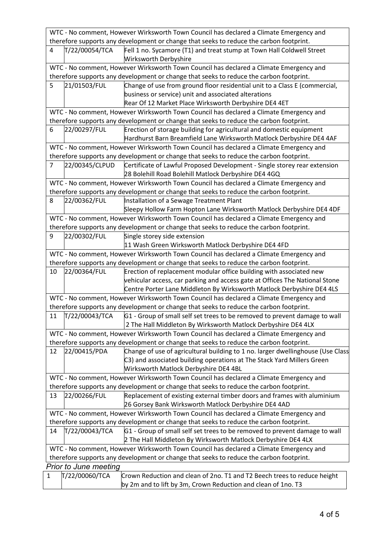|                                                                                         | WTC - No comment, However Wirksworth Town Council has declared a Climate Emergency and  |                                                                                                                                 |  |  |  |  |
|-----------------------------------------------------------------------------------------|-----------------------------------------------------------------------------------------|---------------------------------------------------------------------------------------------------------------------------------|--|--|--|--|
|                                                                                         | therefore supports any development or change that seeks to reduce the carbon footprint. |                                                                                                                                 |  |  |  |  |
| $\overline{4}$                                                                          | T/22/00054/TCA                                                                          | Fell 1 no. Sycamore (T1) and treat stump at Town Hall Coldwell Street<br><b>Wirksworth Derbyshire</b>                           |  |  |  |  |
| WTC - No comment, However Wirksworth Town Council has declared a Climate Emergency and  |                                                                                         |                                                                                                                                 |  |  |  |  |
|                                                                                         |                                                                                         | therefore supports any development or change that seeks to reduce the carbon footprint.                                         |  |  |  |  |
| 5                                                                                       | 21/01503/FUL                                                                            | Change of use from ground floor residential unit to a Class E (commercial,                                                      |  |  |  |  |
|                                                                                         |                                                                                         | business or service) unit and associated alterations                                                                            |  |  |  |  |
|                                                                                         |                                                                                         | Rear Of 12 Market Place Wirksworth Derbyshire DE4 4ET                                                                           |  |  |  |  |
|                                                                                         | WTC - No comment, However Wirksworth Town Council has declared a Climate Emergency and  |                                                                                                                                 |  |  |  |  |
|                                                                                         |                                                                                         | therefore supports any development or change that seeks to reduce the carbon footprint.                                         |  |  |  |  |
| 6                                                                                       | 22/00297/FUL                                                                            | Erection of storage building for agricultural and domestic equipment                                                            |  |  |  |  |
|                                                                                         |                                                                                         | Hardhurst Barn Breamfield Lane Wirksworth Matlock Derbyshire DE4 4AF                                                            |  |  |  |  |
|                                                                                         |                                                                                         | WTC - No comment, However Wirksworth Town Council has declared a Climate Emergency and                                          |  |  |  |  |
|                                                                                         |                                                                                         | therefore supports any development or change that seeks to reduce the carbon footprint.                                         |  |  |  |  |
| $\overline{7}$                                                                          | 22/00345/CLPUD                                                                          | Certificate of Lawful Proposed Development - Single storey rear extension                                                       |  |  |  |  |
|                                                                                         |                                                                                         | 28 Bolehill Road Bolehill Matlock Derbyshire DE4 4GQ                                                                            |  |  |  |  |
|                                                                                         |                                                                                         | WTC - No comment, However Wirksworth Town Council has declared a Climate Emergency and                                          |  |  |  |  |
|                                                                                         |                                                                                         | therefore supports any development or change that seeks to reduce the carbon footprint.                                         |  |  |  |  |
| 8                                                                                       | 22/00362/FUL                                                                            | Installation of a Sewage Treatment Plant                                                                                        |  |  |  |  |
|                                                                                         |                                                                                         | Sleepy Hollow Farm Hopton Lane Wirksworth Matlock Derbyshire DE4 4DF                                                            |  |  |  |  |
|                                                                                         |                                                                                         | WTC - No comment, However Wirksworth Town Council has declared a Climate Emergency and                                          |  |  |  |  |
|                                                                                         |                                                                                         |                                                                                                                                 |  |  |  |  |
|                                                                                         |                                                                                         | therefore supports any development or change that seeks to reduce the carbon footprint.                                         |  |  |  |  |
| 9                                                                                       | 22/00302/FUL                                                                            | Single storey side extension                                                                                                    |  |  |  |  |
|                                                                                         |                                                                                         | 11 Wash Green Wirksworth Matlock Derbyshire DE4 4FD                                                                             |  |  |  |  |
|                                                                                         |                                                                                         | WTC - No comment, However Wirksworth Town Council has declared a Climate Emergency and                                          |  |  |  |  |
|                                                                                         |                                                                                         | therefore supports any development or change that seeks to reduce the carbon footprint.                                         |  |  |  |  |
| 10                                                                                      | 22/00364/FUL                                                                            | Erection of replacement modular office building with associated new                                                             |  |  |  |  |
|                                                                                         |                                                                                         | vehicular access, car parking and access gate at Offices The National Stone                                                     |  |  |  |  |
|                                                                                         |                                                                                         | Centre Porter Lane Middleton By Wirksworth Matlock Derbyshire DE4 4LS                                                           |  |  |  |  |
|                                                                                         |                                                                                         | WTC - No comment, However Wirksworth Town Council has declared a Climate Emergency and                                          |  |  |  |  |
|                                                                                         |                                                                                         | therefore supports any development or change that seeks to reduce the carbon footprint.                                         |  |  |  |  |
| 11                                                                                      |                                                                                         | T/22/00043/TCA G1 - Group of small self set trees to be removed to prevent damage to wall                                       |  |  |  |  |
|                                                                                         |                                                                                         | 2 The Hall Middleton By Wirksworth Matlock Derbyshire DE4 4LX                                                                   |  |  |  |  |
|                                                                                         |                                                                                         | WTC - No comment, However Wirksworth Town Council has declared a Climate Emergency and                                          |  |  |  |  |
| therefore supports any development or change that seeks to reduce the carbon footprint. |                                                                                         |                                                                                                                                 |  |  |  |  |
| 12                                                                                      | 22/00415/PDA                                                                            | Change of use of agricultural building to 1 no. larger dwellinghouse (Use Class                                                 |  |  |  |  |
|                                                                                         |                                                                                         | C3) and associated building operations at The Stack Yard Millers Green                                                          |  |  |  |  |
|                                                                                         |                                                                                         | Wirksworth Matlock Derbyshire DE4 4BL                                                                                           |  |  |  |  |
|                                                                                         |                                                                                         | WTC - No comment, However Wirksworth Town Council has declared a Climate Emergency and                                          |  |  |  |  |
|                                                                                         |                                                                                         | therefore supports any development or change that seeks to reduce the carbon footprint.                                         |  |  |  |  |
| 13                                                                                      | 22/00266/FUL                                                                            |                                                                                                                                 |  |  |  |  |
|                                                                                         |                                                                                         | Replacement of existing external timber doors and frames with aluminium<br>26 Gorsey Bank Wirksworth Matlock Derbyshire DE4 4AD |  |  |  |  |
|                                                                                         |                                                                                         |                                                                                                                                 |  |  |  |  |
|                                                                                         | WTC - No comment, However Wirksworth Town Council has declared a Climate Emergency and  |                                                                                                                                 |  |  |  |  |
| therefore supports any development or change that seeks to reduce the carbon footprint. |                                                                                         |                                                                                                                                 |  |  |  |  |
| 14                                                                                      | T/22/00043/TCA                                                                          | G1 - Group of small self set trees to be removed to prevent damage to wall                                                      |  |  |  |  |
|                                                                                         |                                                                                         | 2 The Hall Middleton By Wirksworth Matlock Derbyshire DE4 4LX                                                                   |  |  |  |  |
| WTC - No comment, However Wirksworth Town Council has declared a Climate Emergency and  |                                                                                         |                                                                                                                                 |  |  |  |  |
| therefore supports any development or change that seeks to reduce the carbon footprint. |                                                                                         |                                                                                                                                 |  |  |  |  |
|                                                                                         | Prior to June meeting                                                                   |                                                                                                                                 |  |  |  |  |
| 1                                                                                       | T/22/00060/TCA                                                                          | Crown Reduction and clean of 2no. T1 and T2 Beech trees to reduce height                                                        |  |  |  |  |
|                                                                                         |                                                                                         | by 2m and to lift by 3m, Crown Reduction and clean of 1no. T3                                                                   |  |  |  |  |